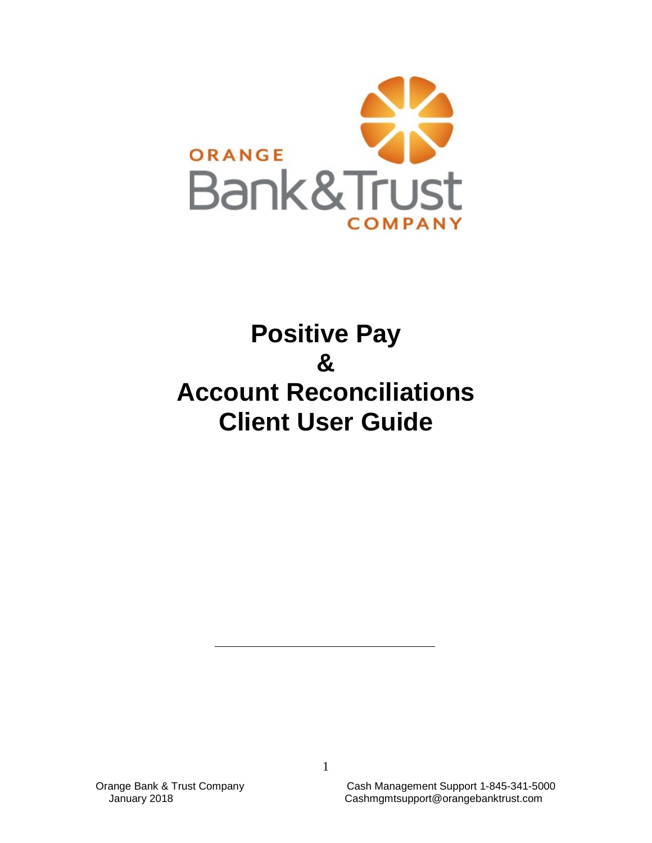

# **Positive Pay & Account Reconciliations Client User Guide**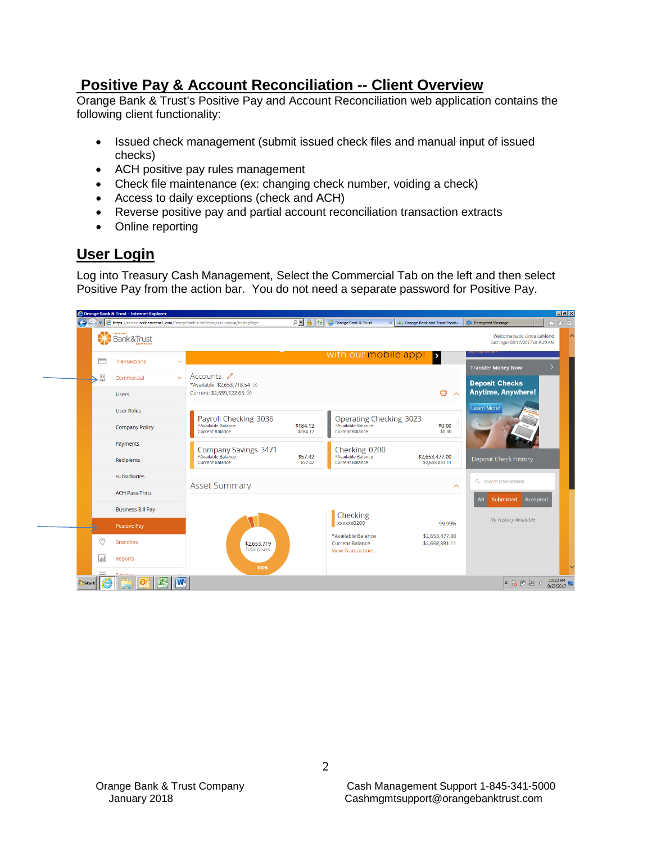# **Positive Pay & Account Reconciliation -- Client Overview**

Orange Bank & Trust's Positive Pay and Account Reconciliation web application contains the following client functionality:

- Issued check management (submit issued check files and manual input of issued checks)
- ACH positive pay rules management
- Check file maintenance (ex: changing check number, voiding a check)
- Access to daily exceptions (check and ACH)
- Reverse positive pay and partial account reconciliation transaction extracts
- Online reporting

# **User Login**

Log into Treasury Cash Management, Select the Commercial Tab on the left and then select Positive Pay from the action bar. You do not need a separate password for Positive Pay.

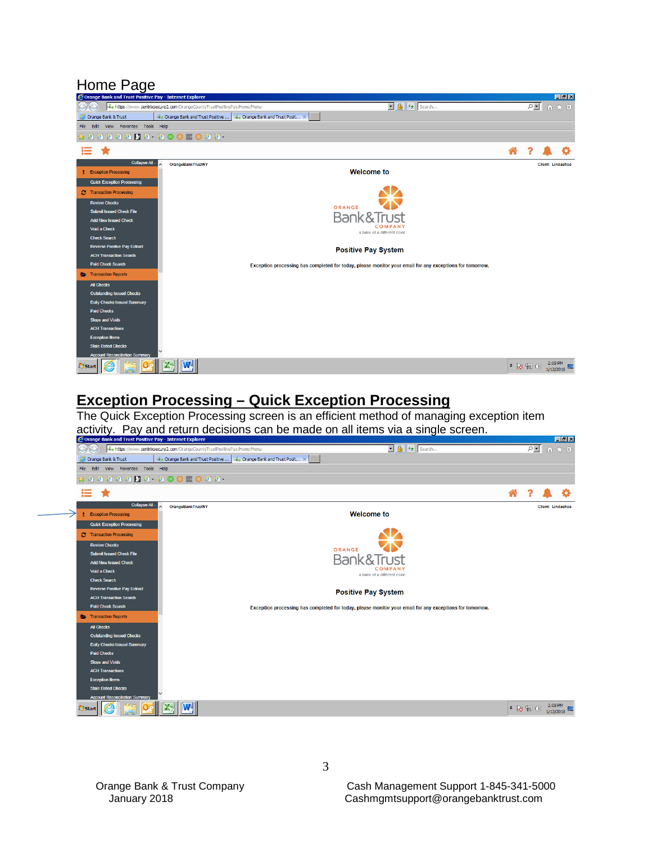# Home Page<br> *C* Orange Bank and Trust Positive Pay - Internet Explorer



# **Exception Processing – Quick Exception Processing**

The Quick Exception Processing screen is an efficient method of managing exception item activity. Pay and return decisions can be made on all items via a single screen.<br>Corange Bank and Trust Positive Pay - Internet Explorer

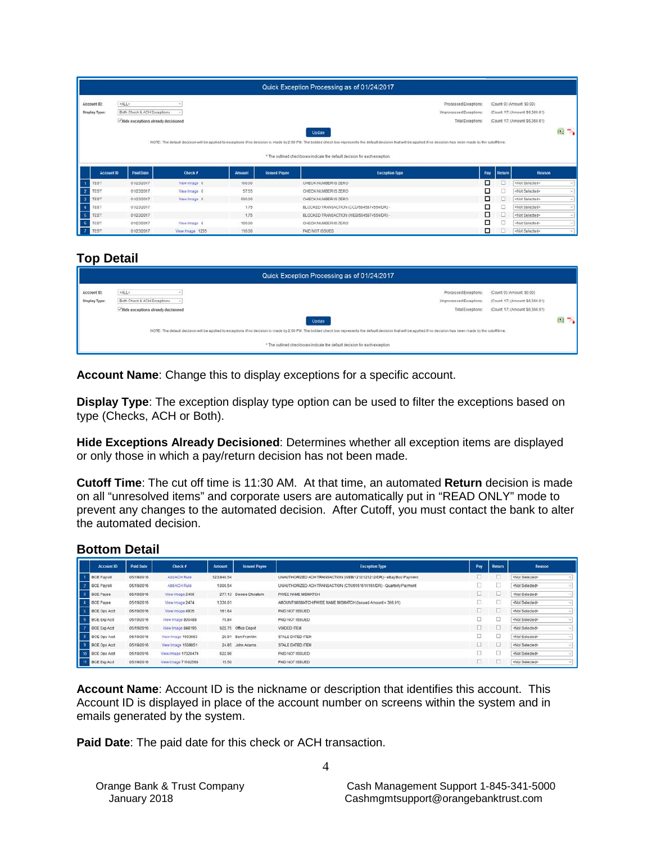|                               |                                                 |              |               |                     | Quick Exception Processing as of 01/24/2017                                                                                                                                                                                                                                                           |                                                                       |               |                                                                                                   |                                     |
|-------------------------------|-------------------------------------------------|--------------|---------------|---------------------|-------------------------------------------------------------------------------------------------------------------------------------------------------------------------------------------------------------------------------------------------------------------------------------------------------|-----------------------------------------------------------------------|---------------|---------------------------------------------------------------------------------------------------|-------------------------------------|
| Account ID:<br>Display Type:  | <all><br/>Both Check &amp; ACH Exceptions</all> |              |               |                     |                                                                                                                                                                                                                                                                                                       | Processed Exceptions:<br>Unprocessed Exceptions:<br>Total Exceptions: |               | (Count 0) (Amount \$0.00)<br>(Count: 17) (Amount: \$6,360.61)<br>(Count: 17) (Amount: \$6,360.61) |                                     |
|                               | - Hide exceptions already decisioned            |              |               |                     | Update                                                                                                                                                                                                                                                                                                |                                                                       |               |                                                                                                   | $X_2$<br>$\mathcal{D}_{\mathbf{a}}$ |
|                               |                                                 |              |               |                     | NOTE: The default decision will be applied to exceptions if no decision is made by 2:00 PM. The bolded check box represents the default decision that will be applied if no decision has been made by the cutoff time.<br>* The outlined checkboxes indicate the default decision for each exception. |                                                                       |               |                                                                                                   |                                     |
| Account ID                    | Paid Date                                       | Check #      | <b>Amount</b> | <b>Issued Payee</b> | <b>Exception Type</b>                                                                                                                                                                                                                                                                                 |                                                                       | Return<br>Pay | Reason                                                                                            |                                     |
| $\mathcal{A}$<br><b>TEST</b>  | 01/23/2017                                      | View Image 0 | 100.00        |                     | CHECK NUMBER IS ZERO                                                                                                                                                                                                                                                                                  |                                                                       | □<br>u        | <not selected=""></not>                                                                           |                                     |
| $\overline{2}$<br><b>TEST</b> | 01/23/2017                                      | View Image 0 | 57.55         |                     | CHECK NUMBER IS ZERO                                                                                                                                                                                                                                                                                  |                                                                       | □<br>u        | <not selected=""></not>                                                                           |                                     |
| <b>TEST</b>                   | 01/23/2017                                      | View Image 0 | 500.00        |                     | CHECK NUMBER IS ZERO                                                                                                                                                                                                                                                                                  |                                                                       | □<br>□        | <not selected=""></not>                                                                           |                                     |
|                               |                                                 |              |               |                     |                                                                                                                                                                                                                                                                                                       |                                                                       |               |                                                                                                   |                                     |
| <b>TEST</b>                   | 01/23/2017                                      |              | 1.75          |                     | BLOCKED TRANSACTION (CCD/5845874554/DR) -                                                                                                                                                                                                                                                             |                                                                       | ₫<br>□        | <not selected=""></not>                                                                           |                                     |
| $-5$<br><b>TEST</b>           | 01/23/2017                                      |              | 1.75          |                     | BLOCKED TRANSACTION (WEB/5845874554/DR) -                                                                                                                                                                                                                                                             |                                                                       | □<br>u        | <not selected=""></not>                                                                           | $\sim$                              |
| $-6$<br><b>TEST</b>           | 01/23/2017                                      | View Image 0 | 100.00        |                     | CHECK NUMBER IS ZERO                                                                                                                                                                                                                                                                                  |                                                                       | □             | <not selected=""></not>                                                                           |                                     |

#### **Top Detail**

|               | Quick Exception Processing as of 01/24/2017                                                                                                                                                                            |                                              |                                                                  |                   |
|---------------|------------------------------------------------------------------------------------------------------------------------------------------------------------------------------------------------------------------------|----------------------------------------------|------------------------------------------------------------------|-------------------|
| Account ID:   | <all></all>                                                                                                                                                                                                            | Processed Exceptions:                        | (Count 0) (Amount \$0.00)                                        |                   |
| Display Type: | Both Check & ACH Exceptions<br>- Hide exceptions already decisioned                                                                                                                                                    | Unprocessed Exceptions:<br>Total Exceptions: | (Count 17) (Amount \$6,360.61)<br>(Count 17) (Amount \$6,360.61) |                   |
|               | Update                                                                                                                                                                                                                 |                                              |                                                                  | $M_2 \rightarrow$ |
|               | NOTE. The default decision will be applied to exceptions if no decision is made by 2:00 PM. The bolded check box represents the default decision that will be applied if no decision has been made by the cutoff time. |                                              |                                                                  |                   |
|               | * The outlined checkboxes indicate the default decision for each exception.                                                                                                                                            |                                              |                                                                  |                   |
|               |                                                                                                                                                                                                                        |                                              |                                                                  |                   |

**Account Name**: Change this to display exceptions for a specific account.

**Display Type**: The exception display type option can be used to filter the exceptions based on type (Checks, ACH or Both).

**Hide Exceptions Already Decisioned**: Determines whether all exception items are displayed or only those in which a pay/return decision has not been made.

**Cutoff Time**: The cut off time is 11:30 AM. At that time, an automated **Return** decision is made on all "unresolved items" and corporate users are automatically put in "READ ONLY" mode to prevent any changes to the automated decision. After Cutoff, you must contact the bank to alter the automated decision.

#### **Bottom Detail**

| <b>Account ID</b>             | Paid Date  | Check #             | <b>Amount</b> | <b>Issued Payee</b>  | <b>Exception Type</b>                                                | Pay | Return | Reason                  |
|-------------------------------|------------|---------------------|---------------|----------------------|----------------------------------------------------------------------|-----|--------|-------------------------|
| <b>BCE Payroll</b>            | 05/19/2016 | Add ACH Rule:       | 523,940.54    |                      | UNAUTHORIZED ACH TRANSACTION (WEB/1212121212DR) - eBay Bob Payment   | ED. |        | <not selected=""></not> |
| $\sim$<br><b>BCE Payroll</b>  | 05/19/2016 | Add ACH Rule        | 1,000.54      |                      | UNAUTHORIZED ACH TRANSACTION (CTX/6161616161/DR) - Quarterly Payment | a.  |        | <not selected=""></not> |
| <b>BCE Payee</b>              | 05/19/2016 | View Image 2456     |               | 277.13 Dewee Chestum | PAYEE NAME MISMATCH                                                  |     |        | <not selected=""></not> |
| <b>BCE Pavee</b>              | 05/19/2016 | View Image 2474     | 1,336.01      |                      | AMOUNT MISMATCH/PAYEE NAME MISMATCH (issued Amount = 366.01)         | n   | B      | <not selected=""></not> |
| <b>E</b> BCE Ops Acct         | 05/19/2016 | View Image 4935     | 161.64        |                      | PAID NOT ISSUED                                                      | w   | œ      | <not selected=""></not> |
| <b>BCE Exp Acct</b>           | 05/19/2016 | View Image 800488   | 70.84         |                      | PAID NOT ISSUED.                                                     |     |        | <not selected=""></not> |
| <b>BCE Exp Acct</b>           | 05/19/2016 | View Image 848195   |               | 622.75 Office Depot  | VOIDED ITEM                                                          |     |        | <not selected=""></not> |
| 8 BCE Ops Actt                | 05/19/2016 | Wew Image 1503653   | 20.91         | Ben Franklin         | STALE DATED ITEM                                                     |     |        | <not selected=""></not> |
| <b>BCE Ops Acct</b>           | 05/19/2016 | View Image 1509851  |               | 24.85 John Adams     | STALE DATED ITEM                                                     |     |        | <not selected=""></not> |
| 10 BCE Ops Acct               | 05/19/2016 | View Image 17328474 | 622.98        |                      | PAID NOT ISSUED                                                      |     |        | <not selected=""></not> |
| $11-1$<br><b>BCE Exp Acct</b> | 05/19/2016 | View Image 71102568 | 15.50         |                      | PAID NOT ISSUED.                                                     |     |        | <not selected=""></not> |

**Account Name**: Account ID is the nickname or description that identifies this account. This Account ID is displayed in place of the account number on screens within the system and in emails generated by the system.

**Paid Date**: The paid date for this check or ACH transaction.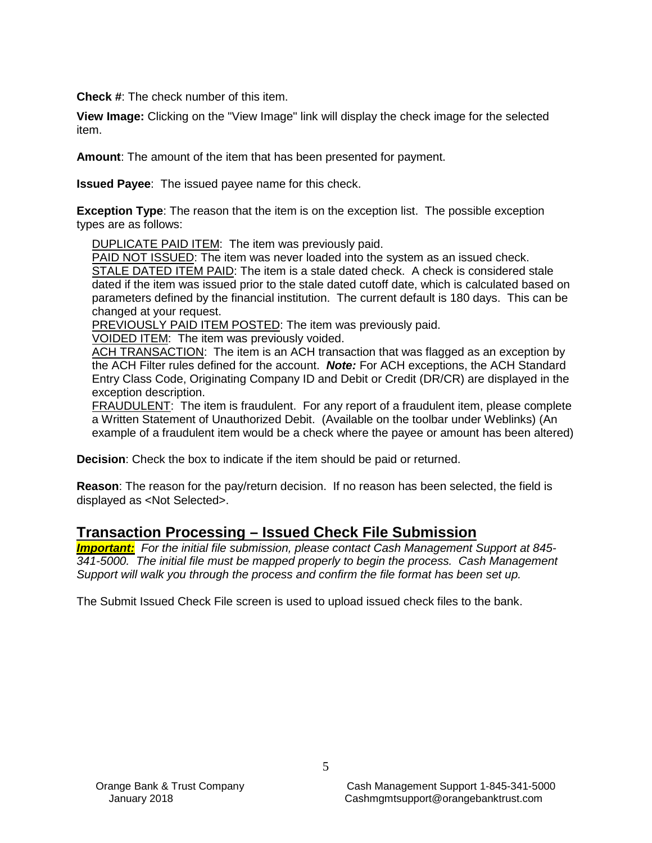**Check #**: The check number of this item.

**View Image:** Clicking on the "View Image" link will display the check image for the selected item.

**Amount**: The amount of the item that has been presented for payment.

**Issued Payee**: The issued payee name for this check.

**Exception Type**: The reason that the item is on the exception list. The possible exception types are as follows:

DUPLICATE PAID ITEM: The item was previously paid.

PAID NOT ISSUED: The item was never loaded into the system as an issued check. STALE DATED ITEM PAID: The item is a stale dated check. A check is considered stale dated if the item was issued prior to the stale dated cutoff date, which is calculated based on parameters defined by the financial institution. The current default is 180 days. This can be changed at your request.

PREVIOUSLY PAID ITEM POSTED: The item was previously paid.

VOIDED ITEM: The item was previously voided.

ACH TRANSACTION: The item is an ACH transaction that was flagged as an exception by the ACH Filter rules defined for the account. *Note:* For ACH exceptions, the ACH Standard Entry Class Code, Originating Company ID and Debit or Credit (DR/CR) are displayed in the exception description.

FRAUDULENT: The item is fraudulent. For any report of a fraudulent item, please complete a Written Statement of Unauthorized Debit. (Available on the toolbar under Weblinks) (An example of a fraudulent item would be a check where the payee or amount has been altered)

**Decision**: Check the box to indicate if the item should be paid or returned.

**Reason**: The reason for the pay/return decision. If no reason has been selected, the field is displayed as <Not Selected>.

# **Transaction Processing – Issued Check File Submission**

*Important: For the initial file submission, please contact Cash Management Support at 845- 341-5000. The initial file must be mapped properly to begin the process. Cash Management Support will walk you through the process and confirm the file format has been set up.* 

The Submit Issued Check File screen is used to upload issued check files to the bank.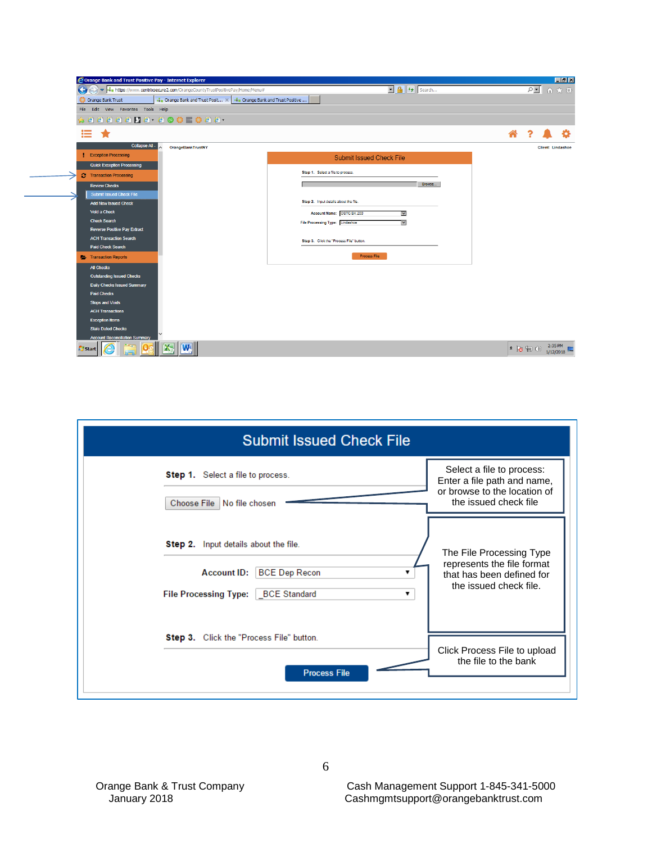| G                                                                    | → https://www.centrixsecure2.com/OrangeCountyTrustPositivePay/Home/Menu# | $\boxed{\blacksquare}$ $\boxed{\uparrow}$ $\boxed{\mathsf{Search}}$ | $P$ $\blacksquare$ $\land$ $\land$ $\otimes$ |
|----------------------------------------------------------------------|--------------------------------------------------------------------------|---------------------------------------------------------------------|----------------------------------------------|
| Orange Bank Trust                                                    | Orange Bank and Trust Posit X  Orange Bank and Trust Positive            |                                                                     |                                              |
| Edit View Favorites Tools Help<br>File                               |                                                                          |                                                                     |                                              |
|                                                                      | aaaaaaa acceecaa                                                         |                                                                     |                                              |
| ≔                                                                    |                                                                          |                                                                     | Ѧ                                            |
| <b>Collapse All -</b>                                                | <b>OrangeBankTrustNY</b>                                                 |                                                                     | <b>Client: Lindashoe</b>                     |
| <b>Exception Processing</b>                                          |                                                                          | <b>Submit Issued Check File</b>                                     |                                              |
| <b>Quick Exception Processing</b>                                    |                                                                          |                                                                     |                                              |
| <b>3</b> Transaction Processing                                      |                                                                          | Step 1. Select a file to process.                                   |                                              |
| <b>Review Checks</b>                                                 |                                                                          | Browse                                                              |                                              |
| <b>Submit Issued Check File</b>                                      |                                                                          |                                                                     |                                              |
| <b>Add New Issued Check</b>                                          |                                                                          | Step 2. Input details about the file.                               |                                              |
| Void a Check                                                         |                                                                          | Account Name: OBTC BK 200<br>$\checkmark$                           |                                              |
| <b>Check Search</b>                                                  |                                                                          | File Processing Type: Lindashoe<br>×                                |                                              |
| <b>Reverse Positive Pay Extract</b><br><b>ACH Transaction Search</b> |                                                                          |                                                                     |                                              |
| Paid Check Search                                                    |                                                                          | Step 3. Click the "Process File" button.                            |                                              |
| <b>Transaction Reports</b>                                           |                                                                          | Process File                                                        |                                              |
| <b>All Checks</b>                                                    |                                                                          |                                                                     |                                              |
| <b>Outstanding Issued Checks</b>                                     |                                                                          |                                                                     |                                              |
| <b>Daily Checks Issued Summary</b>                                   |                                                                          |                                                                     |                                              |
| <b>Paid Checks</b>                                                   |                                                                          |                                                                     |                                              |
| <b>Stops and Voids</b>                                               |                                                                          |                                                                     |                                              |
| <b>ACH Transactions</b>                                              |                                                                          |                                                                     |                                              |
| <b>Exception Items</b><br><b>Stale Dated Checks</b>                  |                                                                          |                                                                     |                                              |
| <b>Account Reconciliation Summary</b>                                |                                                                          |                                                                     |                                              |
|                                                                      | X                                                                        |                                                                     | 2:35 PM                                      |

| <b>Submit Issued Check File</b>                                                                                                         |                                                                                                                   |
|-----------------------------------------------------------------------------------------------------------------------------------------|-------------------------------------------------------------------------------------------------------------------|
| Step 1. Select a file to process.<br>Choose File No file chosen                                                                         | Select a file to process:<br>Enter a file path and name,<br>or browse to the location of<br>the issued check file |
| <b>Step 2.</b> Input details about the file.<br><b>BCE Dep Recon</b><br><b>Account ID:</b><br>File Processing Type:   BCE Standard<br>▼ | The File Processing Type<br>represents the file format<br>that has been defined for<br>the issued check file.     |
| Step 3. Click the "Process File" button.<br><b>Process File</b>                                                                         | Click Process File to upload<br>the file to the bank                                                              |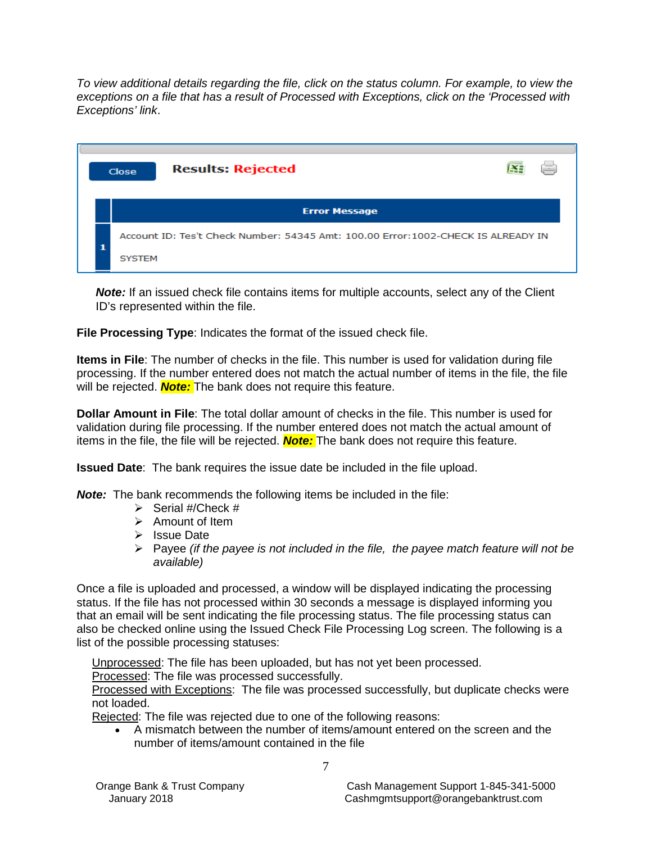*To view additional details regarding the file, click on the status column. For example, to view the exceptions on a file that has a result of Processed with Exceptions, click on the 'Processed with Exceptions' link*.

|  | <b>Results: Rejected</b><br>Close                                                 | Ξ |
|--|-----------------------------------------------------------------------------------|---|
|  | <b>Error Message</b>                                                              |   |
|  | Account ID: Tes't Check Number: 54345 Amt: 100.00 Error: 1002-CHECK IS ALREADY IN |   |
|  | <b>SYSTEM</b>                                                                     |   |

**Note:** If an issued check file contains items for multiple accounts, select any of the Client ID's represented within the file.

**File Processing Type**: Indicates the format of the issued check file.

**Items in File**: The number of checks in the file. This number is used for validation during file processing. If the number entered does not match the actual number of items in the file, the file will be rejected. *Note:* The bank does not require this feature.

**Dollar Amount in File**: The total dollar amount of checks in the file. This number is used for validation during file processing. If the number entered does not match the actual amount of items in the file, the file will be rejected. *Note:* The bank does not require this feature.

**Issued Date**: The bank requires the issue date be included in the file upload.

*Note:* The bank recommends the following items be included in the file:

- $\triangleright$  Serial #/Check #
- $\triangleright$  Amount of Item
- $\triangleright$  Issue Date
- Payee *(if the payee is not included in the file, the payee match feature will not be available)*

Once a file is uploaded and processed, a window will be displayed indicating the processing status. If the file has not processed within 30 seconds a message is displayed informing you that an email will be sent indicating the file processing status. The file processing status can also be checked online using the Issued Check File Processing Log screen. The following is a list of the possible processing statuses:

Unprocessed: The file has been uploaded, but has not yet been processed.

Processed: The file was processed successfully.

Processed with Exceptions: The file was processed successfully, but duplicate checks were not loaded.

Rejected: The file was rejected due to one of the following reasons:

• A mismatch between the number of items/amount entered on the screen and the number of items/amount contained in the file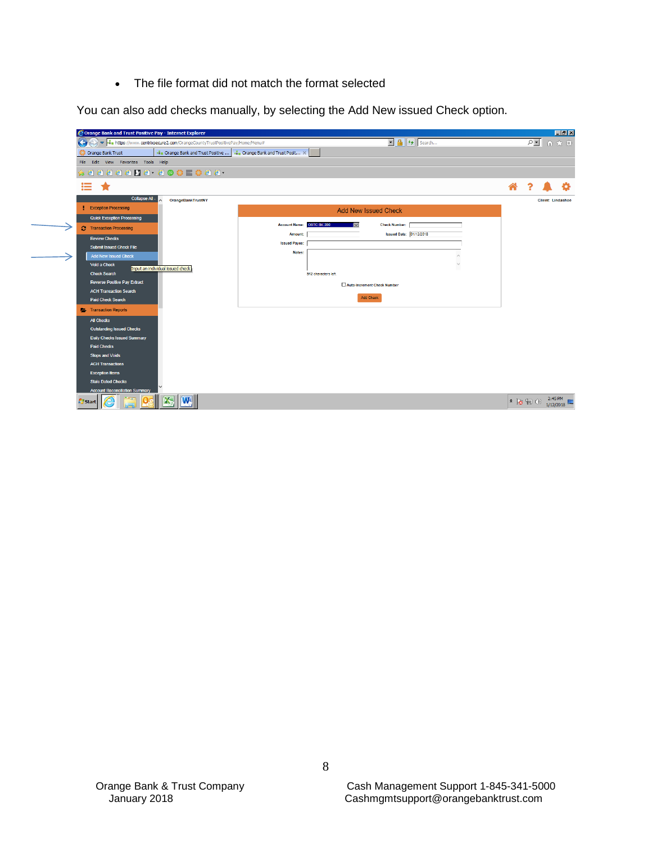• The file format did not match the format selected

You can also add checks manually, by selecting the Add New issued Check option.

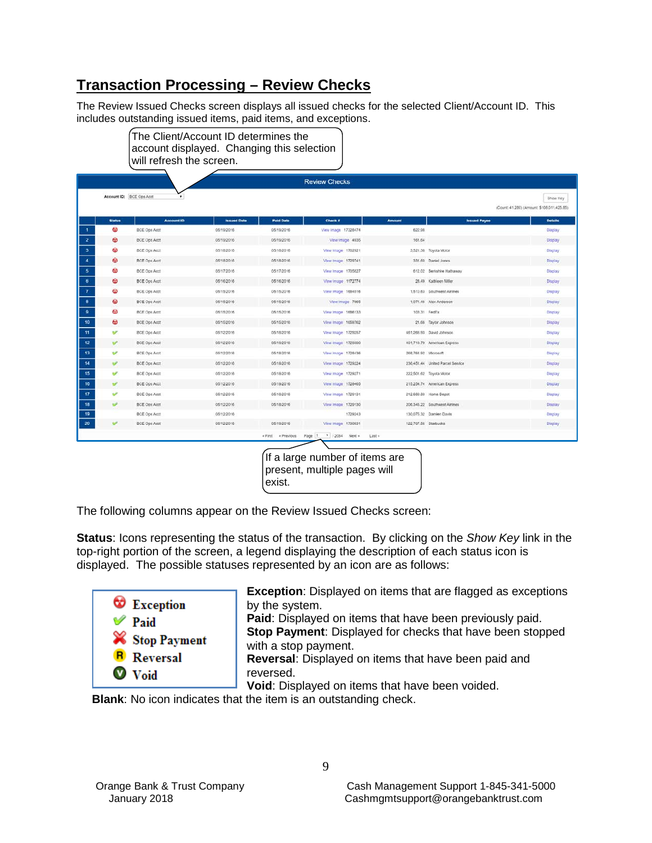# **Transaction Processing – Review Checks**

The Review Issued Checks screen displays all issued checks for the selected Client/Account ID. This includes outstanding issued items, paid items, and exceptions.

|               |                          |                    |                  | <b>Review Checks</b> |                      |                                  |                                            |
|---------------|--------------------------|--------------------|------------------|----------------------|----------------------|----------------------------------|--------------------------------------------|
|               | Account ID: BCE Ops Acct |                    |                  |                      |                      |                                  | Show Key                                   |
|               |                          |                    |                  |                      |                      |                                  | (Count: 41.280) (Amount: \$108,011,425.85) |
| <b>Status</b> | <b>Account ID</b>        | <b>Issued Date</b> | <b>Paid Date</b> | <b>Check #</b>       | <b>Amount</b>        | <b>Issued Payee</b>              | <b>Details</b>                             |
| ø             | <b>BCE Ops Acct</b>      | 05/19/2016         | 05/19/2016       | View image 17328474  | 622.98               |                                  | Diaplay                                    |
| $\omega$      | <b>BCE Ops Acct</b>      | 05/19/2016         | 05/19/2016       | View Image 4935      | 161.64               |                                  | Display                                    |
| Ф             | <b>BCE Ops Acct</b>      | 05/18/2016         | 05/18/2016       | View Image 1702921   |                      | 3,521.38 Toyota Motor            | Display                                    |
| $\omega$      | <b>BCE Ops Acct</b>      | 05/18/2016         | 05/18/2016       | View Image 1729741   |                      | 331.60 Daniel Jones              | Display                                    |
| ҩ             | BCE Ops Acct             | 05/17/2016         | 05/17/2016       | View Image 1705827   |                      | 612.02 Berkshire Hathaway        | Display                                    |
| စ             | BCE Ops Acct             | 05/16/2016         | 05/16/2016       | View Image 1172774   |                      | 28.49 Kathleen Miller            | Display                                    |
| ⊕             | BCE Ops Acct             | 05/15/2016         | 05/15/2016       | View Image 1684516   |                      | 1.510.63 Southwest Airlines      | <b>Display</b>                             |
| $\omega$      | <b>BCE Ops Acct</b>      | 05/15/2016         | 05/15/2016       | View Image 7965      |                      | 1,071.46 Alex Anderson           | Display                                    |
| ⊕             | <b>BCE Ops Acct</b>      | 05/15/2016         | 05/15/2016       | View Image 1686133   | 103.31 FedEx         |                                  | <b>Display</b>                             |
| ₩             | <b>BCE Ops Acct</b>      | 05/15/2016         | 05/15/2016       | View Image 1659762   |                      | 21.66 Taylor Johnson             | Display                                    |
| v             | <b>BCE Ops Acct</b>      | 05/12/2016         | 05/18/2016       | View Image 1729257   |                      | 461,266.93 David Johnson         | Display                                    |
|               | <b>BCE Ops Acct</b>      | 05/12/2016         | 05/19/2016       | View Image 1729300   |                      | 401,719.79 American Express      | Display                                    |
| v             | <b>BCE Ops Acct</b>      | 05/12/2016         | 05/18/2016       | View Image 1728436   | 268,764.92 Microsoft |                                  | Display                                    |
|               | <b>BCE Ops Acct</b>      | 05/12/2016         | 05/18/2016       | View Image 1729224   |                      | 236,451.44 United Parcel Service | Display                                    |
|               | BCE Ops Acct             | 05/12/2016         | 05/18/2016       | View Image 1729271   |                      | 222,501.62 Toyota Motor          | Display                                    |
|               | <b>BCE Ops Acct</b>      | 05/12/2016         | 05/19/2016       | View Image 1728465   |                      | 215,254.74 American Express      | Display                                    |
|               | BCE Ops Acct             | 05/12/2016         | 05/18/2016       | View Image 1729131   |                      | 212,689.80 Home Depot            | <b>Display</b>                             |
|               | <b>BCE Ops Acct</b>      | 05/12/2016         | 05/18/2016       | View image 1729130   |                      | 205.346.22 Southwest Airlines    | Display                                    |
|               | BCE Ops Acct             | 05/12/2016         |                  | 1729243              |                      | 130,075.32 Damien Davis          | Display                                    |
|               | <b>BCE Ops Acct</b>      | 05/12/2016         | 05/19/2016       | View Image 1730631   | 122.707.56 Starbucks |                                  | Display                                    |

If a large number of items are present, multiple pages will exist.

The following columns appear on the Review Issued Checks screen:

**Status**: Icons representing the status of the transaction. By clicking on the *Show Key* link in the top-right portion of the screen, a legend displaying the description of each status icon is displayed. The possible statuses represented by an icon are as follows:



**Exception**: Displayed on items that are flagged as exceptions by the system.

**Paid**: Displayed on items that have been previously paid. **Stop Payment**: Displayed for checks that have been stopped with a stop payment. **Reversal**: Displayed on items that have been paid and

reversed.

**Void**: Displayed on items that have been voided.

**Blank**: No icon indicates that the item is an outstanding check.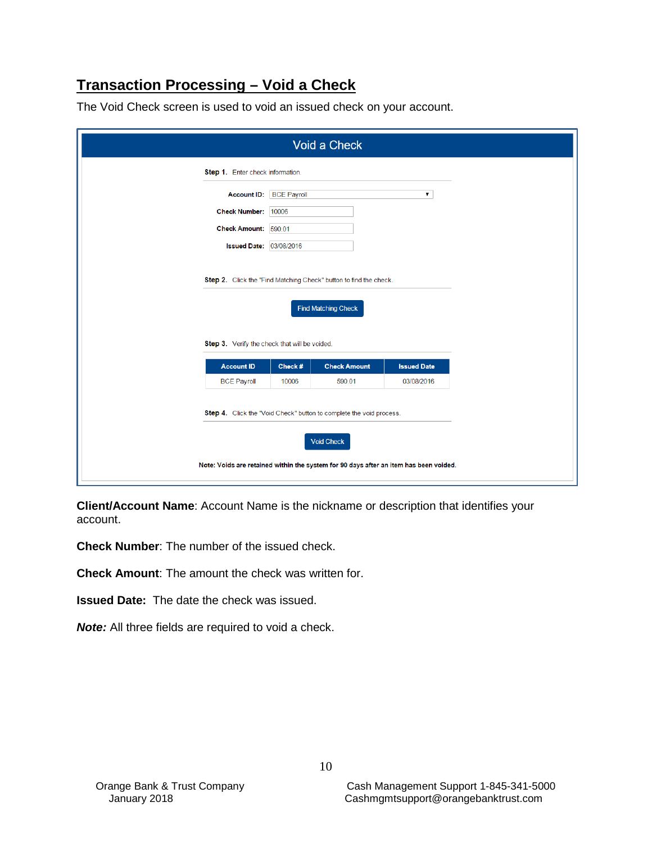# **Transaction Processing – Void a Check**

| Step 1. Enter check information.              |                    |                            |                    |
|-----------------------------------------------|--------------------|----------------------------|--------------------|
| <b>Account ID:</b>                            | <b>BCE Payroll</b> |                            | ۷.                 |
| <b>Check Number:</b>                          | 10006              |                            |                    |
| <b>Check Amount:</b>                          | 590.01             |                            |                    |
| <b>Issued Date:</b>                           | 03/08/2016         |                            |                    |
| Step 3. Verify the check that will be voided. |                    | <b>Find Matching Check</b> |                    |
| <b>Account ID</b>                             | Check#             | <b>Check Amount</b>        | <b>Issued Date</b> |
|                                               | 10006              | 590.01                     | 03/08/2016         |

The Void Check screen is used to void an issued check on your account.

**Client/Account Name**: Account Name is the nickname or description that identifies your account.

**Check Number**: The number of the issued check.

**Check Amount**: The amount the check was written for.

**Issued Date:** The date the check was issued.

*Note:* All three fields are required to void a check.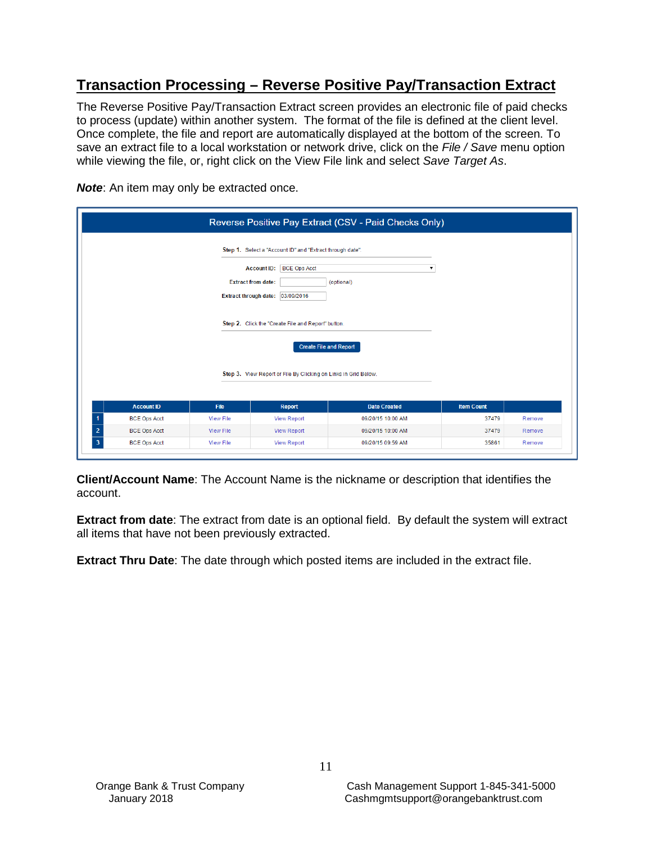# **Transaction Processing – Reverse Positive Pay/Transaction Extract**

The Reverse Positive Pay/Transaction Extract screen provides an electronic file of paid checks to process (update) within another system. The format of the file is defined at the client level. Once complete, the file and report are automatically displayed at the bottom of the screen. To save an extract file to a local workstation or network drive, click on the *File / Save* menu option while viewing the file, or, right click on the View File link and select *Save Target As*.

**Note:** An item may only be extracted once.

|                                       |                                                                                     |                                                                                                                                            | Reverse Positive Pay Extract (CSV - Paid Checks Only) |                   |        |  |
|---------------------------------------|-------------------------------------------------------------------------------------|--------------------------------------------------------------------------------------------------------------------------------------------|-------------------------------------------------------|-------------------|--------|--|
|                                       | <b>Extract from date:</b>                                                           | Step 1. Select a "Account ID" and "Extract through date".<br><b>BCE Ops Acct</b><br><b>Account ID:</b><br>Extract through date: 03/09/2016 | (optional)                                            |                   |        |  |
|                                       | Step 2. Click the "Create File and Report" button.<br><b>Create File and Report</b> |                                                                                                                                            |                                                       |                   |        |  |
|                                       |                                                                                     | Step 3. View Report or File By Clicking on Links in Grid Below.                                                                            |                                                       |                   |        |  |
| <b>Account ID</b>                     | File                                                                                | <b>Report</b>                                                                                                                              | <b>Date Created</b>                                   | <b>Item Count</b> |        |  |
| <b>BCE Ops Acct</b>                   | <b>View File</b>                                                                    | <b>View Report</b>                                                                                                                         | 09/20/15 10:00 AM                                     | 37479             | Remove |  |
| $\overline{2}$<br><b>BCE Ops Acct</b> | <b>View File</b>                                                                    | <b>View Report</b>                                                                                                                         | 09/20/15 10:00 AM                                     | 37479             | Remove |  |
| $\overline{3}$<br><b>BCE Ops Acct</b> | <b>View File</b>                                                                    | <b>View Report</b>                                                                                                                         | 09/20/15 09:59 AM                                     | 35861             | Remove |  |

**Client/Account Name**: The Account Name is the nickname or description that identifies the account.

**Extract from date**: The extract from date is an optional field. By default the system will extract all items that have not been previously extracted.

**Extract Thru Date**: The date through which posted items are included in the extract file.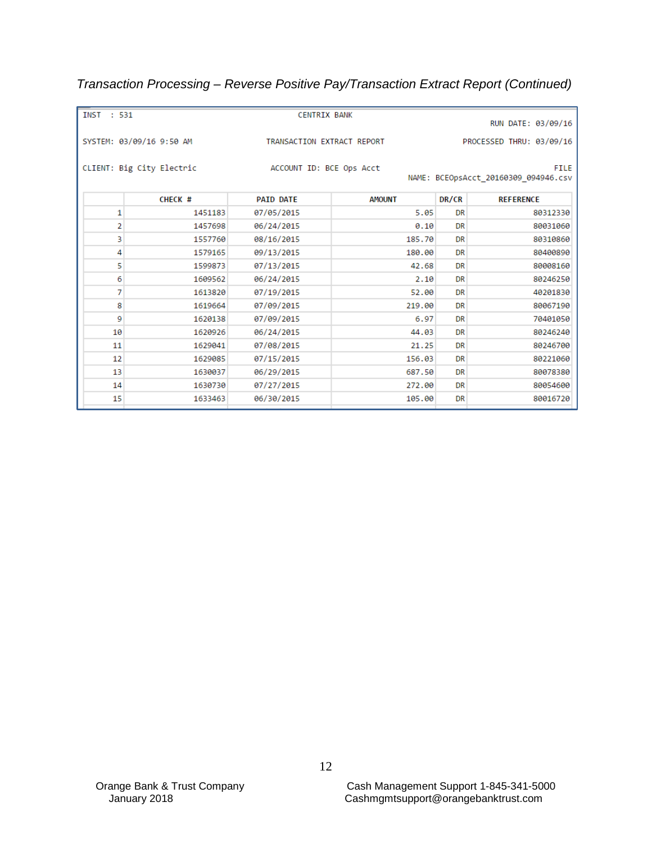# *Transaction Processing – Reverse Positive Pay/Transaction Extract Report (Continued)*

| INST : 531 |                           | <b>CENTRIX BANK</b>        |               |           | RUN DATE: 03/09/16                                  |
|------------|---------------------------|----------------------------|---------------|-----------|-----------------------------------------------------|
|            | SYSTEM: 03/09/16 9:50 AM  | TRANSACTION EXTRACT REPORT |               |           | PROCESSED THRU: 03/09/16                            |
|            | CLIENT: Big City Electric | ACCOUNT ID: BCE Ops Acct   |               |           | <b>FILE</b><br>NAME: BCEOpsAcct_20160309_094946.csv |
|            | CHECK #                   | <b>PAID DATE</b>           | <b>AMOUNT</b> | DR/CR     | <b>REFERENCE</b>                                    |
| 1          | 1451183                   | 07/05/2015                 | 5.05          | <b>DR</b> | 80312330                                            |
| 2          | 1457698                   | 06/24/2015                 | 0.10          | DR        | 80031060                                            |
| 3          | 1557760                   | 08/16/2015                 | 185.70        | <b>DR</b> | 80310860                                            |
| 4          | 1579165                   | 09/13/2015                 | 180.00        | <b>DR</b> | 80400890                                            |
| 5          | 1599873                   | 07/13/2015                 | 42.68         | DR        | 80008160                                            |
| 6          | 1609562                   | 06/24/2015                 | 2.10          | DR        | 80246250                                            |
| 7          | 1613820                   | 07/19/2015                 | 52.00         | <b>DR</b> | 40201830                                            |
| 8          | 1619664                   | 07/09/2015                 | 219.00        | <b>DR</b> | 80067190                                            |
| 9          | 1620138                   | 07/09/2015                 | 6.97          | <b>DR</b> | 70401050                                            |
| 10         | 1620926                   | 06/24/2015                 | 44.03         | DR        | 80246240                                            |
| 11         | 1629041                   | 07/08/2015                 | 21.25         | <b>DR</b> | 80246700                                            |
| 12         | 1629085                   | 07/15/2015                 | 156.03        | <b>DR</b> | 80221060                                            |
| 13         | 1630037                   | 06/29/2015                 | 687.50        | <b>DR</b> | 80078380                                            |
| 14         | 1630730                   | 07/27/2015                 | 272.00        | <b>DR</b> | 80054600                                            |
| 15         | 1633463                   | 06/30/2015                 | 105.00        | <b>DR</b> | 80016720                                            |
|            |                           |                            |               |           |                                                     |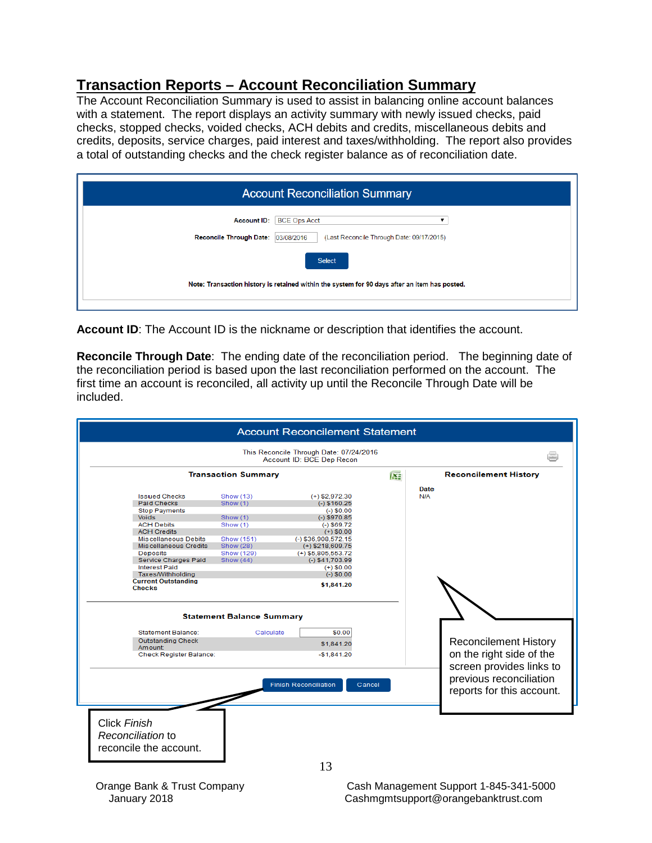#### **Transaction Reports – Account Reconciliation Summary**

The Account Reconciliation Summary is used to assist in balancing online account balances with a statement. The report displays an activity summary with newly issued checks, paid checks, stopped checks, voided checks, ACH debits and credits, miscellaneous debits and credits, deposits, service charges, paid interest and taxes/withholding. The report also provides a total of outstanding checks and the check register balance as of reconciliation date.

|                                                      | <b>Account Reconciliation Summary</b>                                                                          |
|------------------------------------------------------|----------------------------------------------------------------------------------------------------------------|
| <b>Account ID:</b><br><b>Reconcile Through Date:</b> | <b>BCE Ops Acct</b><br>03/08/2016<br>(Last Reconcile Through Date: 09/17/2015)                                 |
|                                                      | <b>Select</b><br>Note: Transaction history is retained within the system for 90 days after an item has posted. |

**Account ID**: The Account ID is the nickname or description that identifies the account.

**Reconcile Through Date**: The ending date of the reconciliation period. The beginning date of the reconciliation period is based upon the last reconciliation performed on the account. The first time an account is reconciled, all activity up until the Reconcile Through Date will be included.

|                                                             |                                  | This Reconcile Through Date: 07/24/2016<br>Account ID: BCE Dep Recon |   |                                                                                  |
|-------------------------------------------------------------|----------------------------------|----------------------------------------------------------------------|---|----------------------------------------------------------------------------------|
|                                                             | <b>Transaction Summary</b>       |                                                                      | 医 | <b>Reconcilement History</b>                                                     |
| <b>Issued Checks</b>                                        | Show (13)                        | $(+)$ \$2,972.30                                                     |   | Date<br>N/A                                                                      |
| <b>Paid Checks</b>                                          | Show (1)                         | $(-)$ \$160.25                                                       |   |                                                                                  |
| <b>Stop Payments</b>                                        |                                  | $(-)$ \$0.00                                                         |   |                                                                                  |
| <b>Voids</b>                                                | Show (1)                         | $(-)$ \$970.85                                                       |   |                                                                                  |
| <b>ACH Debits</b>                                           | Show (1)                         | $(-)$ \$69.72                                                        |   |                                                                                  |
| <b>ACH Credits</b>                                          |                                  | $(+)$ \$0.00                                                         |   |                                                                                  |
| <b>Miscellaneous Debits</b>                                 | Show (151)                       | $(-)$ \$36,908,572.15                                                |   |                                                                                  |
| <b>Miscellaneous Credits</b>                                | Show (28)                        | $(+)$ \$218,609.75                                                   |   |                                                                                  |
| <b>Deposits</b>                                             | Show (129)                       | $(+)$ \$5,805,553.72                                                 |   |                                                                                  |
| Service Charges Paid                                        | Show (44)                        | $(-)$ \$41,703.99                                                    |   |                                                                                  |
| <b>Interest Paid</b>                                        |                                  | $(+)$ \$0.00                                                         |   |                                                                                  |
| Taxes/Withholding                                           |                                  | $(-)$ \$0.00                                                         |   |                                                                                  |
| <b>Current Outstanding</b>                                  |                                  | \$1,841.20                                                           |   |                                                                                  |
| <b>Checks</b>                                               |                                  |                                                                      |   |                                                                                  |
|                                                             | <b>Statement Balance Summary</b> |                                                                      |   |                                                                                  |
| <b>Statement Balance:</b>                                   | Calculate                        | \$0.00                                                               |   |                                                                                  |
| <b>Outstanding Check</b><br>Amount:                         |                                  | \$1.841.20                                                           |   | <b>Reconcilement History</b>                                                     |
| Check Register Balance:                                     |                                  | $-$1,841.20$                                                         |   | on the right side of the                                                         |
|                                                             |                                  | <b>Finish Reconciliation</b><br>Cancel                               |   | screen provides links to<br>previous reconciliation<br>reports for this account. |
| Click Finish<br>Reconciliation to<br>reconcile the account. |                                  |                                                                      |   |                                                                                  |

Orange Bank & Trust Company Cash Management Support 1-845-341-5000 January 2018 Cashmgmtsupport@orangebanktrust.com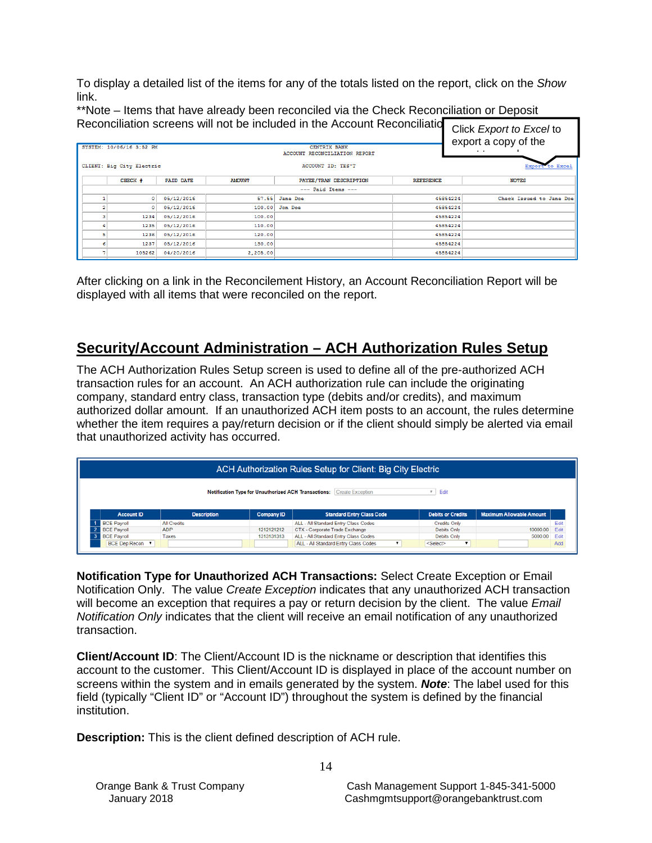To display a detailed list of the items for any of the totals listed on the report, click on the *Show*  link.

\*\*Note – Items that have already been reconciled via the Check Reconciliation or Deposit Reconciliation screens will not be included in the Account Reconciliation

| INCLUITUINAIUT SULCCIIS WIII HUL DE INUIGUCU IN LIIC AUUUNIL INCLUITUINAIU<br>Click Export to Excel to<br>export a copy of the<br>SYSTEM: 10/06/16 3:52 PM<br><b>CENTRIX BANK</b><br>$\epsilon$<br>ACCOUNT RECONCILIATION REPORT |                  |               |                               |                  |                          |  |  |
|----------------------------------------------------------------------------------------------------------------------------------------------------------------------------------------------------------------------------------|------------------|---------------|-------------------------------|------------------|--------------------------|--|--|
| CLIENT: Big City Electric                                                                                                                                                                                                        |                  |               | ACCOUNT ID: TES'T             |                  | Export to Excel          |  |  |
| CHECK #                                                                                                                                                                                                                          | <b>PAID DATE</b> | <b>AMOUNT</b> | PAYEE/TRAN DESCRIPTION        | <b>REFERENCE</b> | <b>NOTES</b>             |  |  |
|                                                                                                                                                                                                                                  |                  |               |                               |                  |                          |  |  |
| 05/12/2016<br>$^{\circ}$                                                                                                                                                                                                         |                  |               | 45854224<br>57.55<br>Jane Doe |                  | Check Issued to Jane Doe |  |  |
| ۰                                                                                                                                                                                                                                | 05/12/2016       | 100.00        | Jon Doe                       | 45854224         |                          |  |  |
| 1234                                                                                                                                                                                                                             | 05/12/2016       | 100.00        |                               | 45854224         |                          |  |  |
| 1235                                                                                                                                                                                                                             | 05/12/2016       | 110.00        |                               | 45854224         |                          |  |  |
| 1236                                                                                                                                                                                                                             | 05/12/2016       | 120.00        |                               | 45854224         |                          |  |  |
| 1237                                                                                                                                                                                                                             | 05/12/2016       | 130.00        |                               | 45854224         |                          |  |  |
| 105262                                                                                                                                                                                                                           | 04/20/2016       | 2,205.00      |                               | 45854224         |                          |  |  |

After clicking on a link in the Reconcilement History, an Account Reconciliation Report will be displayed with all items that were reconciled on the report.

# **Security/Account Administration – ACH Authorization Rules Setup**

The ACH Authorization Rules Setup screen is used to define all of the pre-authorized ACH transaction rules for an account. An ACH authorization rule can include the originating company, standard entry class, transaction type (debits and/or credits), and maximum authorized dollar amount. If an unauthorized ACH item posts to an account, the rules determine whether the item requires a pay/return decision or if the client should simply be alerted via email that unauthorized activity has occurred.

|                    |                    |                                                      | ACH Authorization Rules Setup for Client: Big City Electric |                          |                                 |      |
|--------------------|--------------------|------------------------------------------------------|-------------------------------------------------------------|--------------------------|---------------------------------|------|
|                    |                    | Notification Type for Unauthorized ACH Transactions: | <b>Create Exception</b>                                     | Edit<br>$\mathbf{v}$     |                                 |      |
|                    |                    |                                                      |                                                             |                          |                                 |      |
| <b>Account ID</b>  | <b>Description</b> | <b>Company ID</b>                                    | <b>Standard Entry Class Code</b>                            | <b>Debits or Credits</b> | <b>Maximum Allowable Amount</b> |      |
| <b>BCE Payroll</b> | <b>All Credits</b> |                                                      | ALL - All Standard Entry Class Codes                        | <b>Credits Only</b>      |                                 | Edit |
| <b>BCE Payroll</b> | <b>ADP</b>         | 1212121212                                           | CTX - Corporate Trade Exchange                              | Debits Only              | 10000.00                        | Edit |
| <b>BCE Payroll</b> | Taxes              | 1313131313                                           | ALL - All Standard Entry Class Codes                        | <b>Debits Only</b>       | 5000.00                         | Edit |

**Notification Type for Unauthorized ACH Transactions:** Select Create Exception or Email Notification Only. The value *Create Exception* indicates that any unauthorized ACH transaction will become an exception that requires a pay or return decision by the client. The value *Email Notification Only* indicates that the client will receive an email notification of any unauthorized transaction.

**Client/Account ID**: The Client/Account ID is the nickname or description that identifies this account to the customer. This Client/Account ID is displayed in place of the account number on screens within the system and in emails generated by the system. *Note*: The label used for this field (typically "Client ID" or "Account ID") throughout the system is defined by the financial institution.

**Description:** This is the client defined description of ACH rule.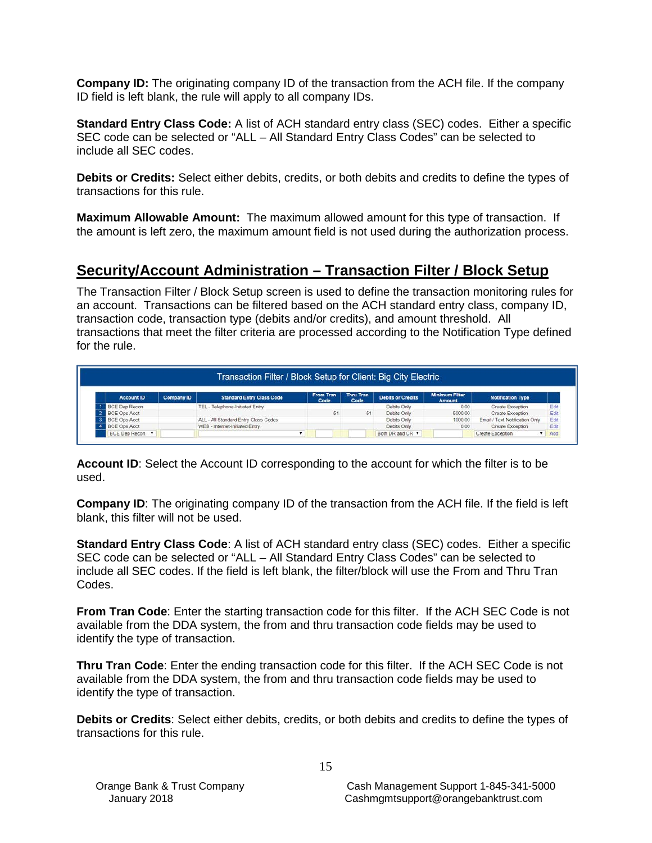**Company ID:** The originating company ID of the transaction from the ACH file. If the company ID field is left blank, the rule will apply to all company IDs.

**Standard Entry Class Code:** A list of ACH standard entry class (SEC) codes. Either a specific SEC code can be selected or "ALL – All Standard Entry Class Codes" can be selected to include all SEC codes.

**Debits or Credits:** Select either debits, credits, or both debits and credits to define the types of transactions for this rule.

**Maximum Allowable Amount:** The maximum allowed amount for this type of transaction. If the amount is left zero, the maximum amount field is not used during the authorization process.

# **Security/Account Administration – Transaction Filter / Block Setup**

The Transaction Filter / Block Setup screen is used to define the transaction monitoring rules for an account. Transactions can be filtered based on the ACH standard entry class, company ID, transaction code, transaction type (debits and/or credits), and amount threshold. All transactions that meet the filter criteria are processed according to the Notification Type defined for the rule.

| Transaction Filter / Block Setup for Client: Big City Electric |            |                                      |                   |                   |                          |                                 |                                |      |
|----------------------------------------------------------------|------------|--------------------------------------|-------------------|-------------------|--------------------------|---------------------------------|--------------------------------|------|
| <b>Account ID</b>                                              | Company ID | <b>Standard Entry Class Code</b>     | From Tran<br>Code | Thru Tran<br>Code | <b>Debits or Credits</b> | <b>Minimum Filter</b><br>Amount | <b>Notification Type</b>       |      |
| <b>BCE Dep Recon</b>                                           |            | TEL - Telephone-Initiated Entry      |                   |                   | Debits Only              | 0.00                            | <b>Create Exception</b>        | Edit |
| <b>BCE Ops Acct</b>                                            |            |                                      | 51                | 51                | Debits Only              | 5000.00                         | Create Exception               | Edit |
| <b>BCE Ops Acct</b>                                            |            | ALL - All Standard Entry Class Codes |                   |                   | Debits Only              | 1000.00                         | Email / Text Notification Only | Edit |
| <b>BCE Ops Acct</b>                                            |            | WEB - Internet-Initiated Entry       |                   |                   | Debits Only              | 0.00                            | Create Exception               | Edit |
| <b>BCE Dep Recon </b>                                          |            |                                      |                   |                   | Both DR and CR "         |                                 | Create Exception               | Add  |

**Account ID**: Select the Account ID corresponding to the account for which the filter is to be used.

**Company ID:** The originating company ID of the transaction from the ACH file. If the field is left blank, this filter will not be used.

**Standard Entry Class Code**: A list of ACH standard entry class (SEC) codes. Either a specific SEC code can be selected or "ALL – All Standard Entry Class Codes" can be selected to include all SEC codes. If the field is left blank, the filter/block will use the From and Thru Tran Codes.

**From Tran Code**: Enter the starting transaction code for this filter. If the ACH SEC Code is not available from the DDA system, the from and thru transaction code fields may be used to identify the type of transaction.

**Thru Tran Code**: Enter the ending transaction code for this filter. If the ACH SEC Code is not available from the DDA system, the from and thru transaction code fields may be used to identify the type of transaction.

**Debits or Credits**: Select either debits, credits, or both debits and credits to define the types of transactions for this rule.